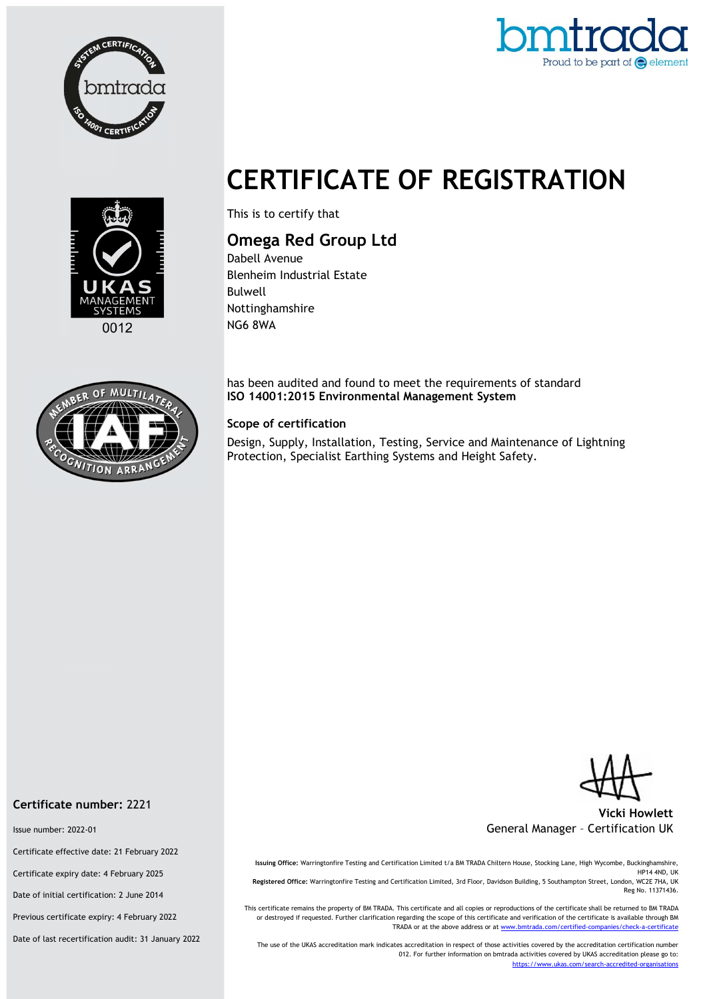



# CERTIFICATE OF REGISTRATION



This is to certify that

## Omega Red Group Ltd

Dabell Avenue Blenheim Industrial Estate Bulwell Nottinghamshire NG6 8WA

has been audited and found to meet the requirements of standard ISO 14001:2015 Environmental Management System

#### Scope of certification

Design, Supply, Installation, Testing, Service and Maintenance of Lightning Protection, Specialist Earthing Systems and Height Safety.

Vicki Howlett General Manager – Certification UK

Issuing Office: Warringtonfire Testing and Certification Limited t/a BM TRADA Chiltern House, Stocking Lane, High Wycombe, Buckinghamshire, HP14 4ND, UK Registered Office: Warringtonfire Testing and Certification Limited, 3rd Floor, Davidson Building, 5 Southampton Street, London, WC2E 7HA, UK Reg No. 11371436.

This certificate remains the property of BM TRADA. This certificate and all copies or reproductions of the certificate shall be returned to BM TRADA or destroyed if requested. Further clarification regarding the scope of this certificate and verification of the certificate is available through BM TRADA or at the above address or at www.bmtrada.com/certified-companies/check-a-certificate

The use of the UKAS accreditation mark indicates accreditation in respect of those activities covered by the accreditation certification number 012. For further information on bmtrada activities covered by UKAS accreditation please go to: https://www.ukas.com/search-accredited-organisations

#### Certificate number: 2221

Issue number: 2022-01

Certificate effective date: 21 February 2022

Certificate expiry date: 4 February 2025

Date of initial certification: 2 June 2014

Previous certificate expiry: 4 February 2022

Date of last recertification audit: 31 January 2022